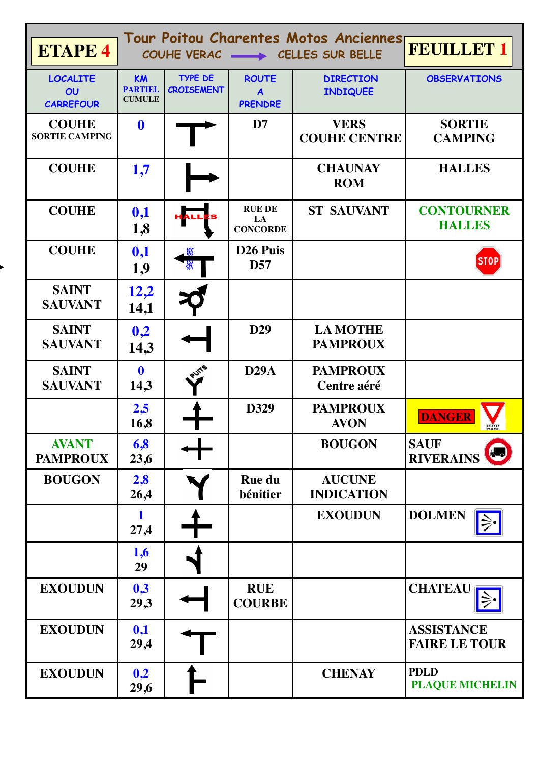| <b>ETAPE 4</b>                                         |                                       | Tour Poitou Charentes Motos Anciennes<br>COUHE VERAC - CELLES SUR BELLE | <b>FEUILLET 1</b>                       |                                     |                                           |
|--------------------------------------------------------|---------------------------------------|-------------------------------------------------------------------------|-----------------------------------------|-------------------------------------|-------------------------------------------|
| <b>LOCALITE</b><br>$\overline{O}U$<br><b>CARREFOUR</b> | KM<br><b>PARTIEL</b><br><b>CUMULE</b> | <b>TYPE DE</b><br><b>CROISEMENT</b>                                     | <b>ROUTE</b><br>A<br><b>PRENDRE</b>     | <b>DIRECTION</b><br><b>INDIQUEE</b> | <b>OBSERVATIONS</b>                       |
| <b>COUHE</b><br><b>SORTIE CAMPING</b>                  | $\mathbf 0$                           |                                                                         | D7                                      | <b>VERS</b><br><b>COUHE CENTRE</b>  | <b>SORTIE</b><br><b>CAMPING</b>           |
| <b>COUHE</b>                                           | 1,7                                   |                                                                         |                                         | <b>CHAUNAY</b><br><b>ROM</b>        | <b>HALLES</b>                             |
| <b>COUHE</b>                                           | 0,1<br>1,8                            |                                                                         | <b>RUE DE</b><br>LA<br><b>CONCORDE</b>  | <b>ST SAUVANT</b>                   | <b>CONTOURNER</b><br><b>HALLES</b>        |
| <b>COUHE</b>                                           | 0,1<br>1,9                            |                                                                         | D <sub>26</sub> Puis<br>D <sub>57</sub> |                                     | <b>STOP</b>                               |
| <b>SAINT</b><br><b>SAUVANT</b>                         | 12,2<br>14,1                          |                                                                         |                                         |                                     |                                           |
| <b>SAINT</b><br><b>SAUVANT</b>                         | 0,2<br>14,3                           |                                                                         | D <sub>29</sub>                         | <b>LA MOTHE</b><br><b>PAMPROUX</b>  |                                           |
| <b>SAINT</b><br><b>SAUVANT</b>                         | $\mathbf 0$<br>14,3                   |                                                                         | D29A                                    | <b>PAMPROUX</b><br>Centre aéré      |                                           |
|                                                        | 2,5<br>16,8                           |                                                                         | D329                                    | <b>PAMPROUX</b><br><b>AVON</b>      | <b>DANGER</b>                             |
| <b>AVANT</b><br><b>PAMPROUX</b>                        | 6,8<br>23,6                           |                                                                         |                                         | <b>BOUGON</b>                       | <b>SAUF</b><br><b>RIVERAINS</b>           |
| <b>BOUGON</b>                                          | 2,8<br>26,4                           |                                                                         | <b>Rue du</b><br>bénitier               | <b>AUCUNE</b><br><b>INDICATION</b>  |                                           |
|                                                        | 1<br>27,4                             |                                                                         |                                         | <b>EXOUDUN</b>                      | <b>DOLMEN</b>                             |
|                                                        | 1,6<br>29                             |                                                                         |                                         |                                     |                                           |
| <b>EXOUDUN</b>                                         | 0,3<br>29,3                           |                                                                         | <b>RUE</b><br><b>COURBE</b>             |                                     | <b>CHATEAU</b>                            |
| <b>EXOUDUN</b>                                         | 0,1<br>29,4                           |                                                                         |                                         |                                     | <b>ASSISTANCE</b><br><b>FAIRE LE TOUR</b> |
| <b>EXOUDUN</b>                                         | 0,2<br>29,6                           |                                                                         |                                         | <b>CHENAY</b>                       | <b>PDLD</b><br><b>PLAQUE MICHELIN</b>     |